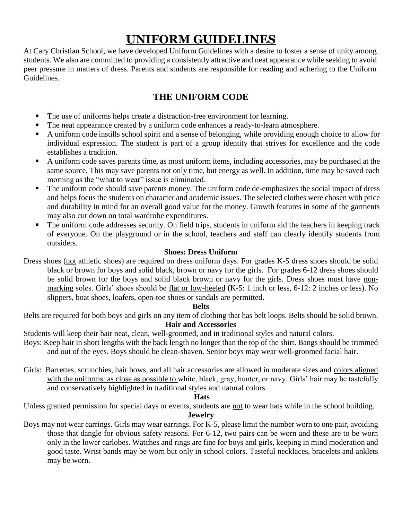# **UNIFORM GUIDELINES**

At Cary Christian School, we have developed Uniform Guidelines with a desire to foster a sense of unity among students. We also are committed to providing a consistently attractive and neat appearance while seeking to avoid peer pressure in matters of dress. Parents and students are responsible for reading and adhering to the Uniform Guidelines.

# **THE UNIFORM CODE**

- The use of uniforms helps create a distraction-free environment for learning.
- The neat appearance created by a uniform code enhances a ready-to-learn atmosphere.
- A uniform code instills school spirit and a sense of belonging, while providing enough choice to allow for individual expression. The student is part of a group identity that strives for excellence and the code establishes a tradition.
- A uniform code saves parents time, as most uniform items, including accessories, may be purchased at the same source. This may save parents not only time, but energy as well. In addition, time may be saved each morning as the "what to wear" issue is eliminated.
- The uniform code should save parents money. The uniform code de-emphasizes the social impact of dress and helps focus the students on character and academic issues. The selected clothes were chosen with price and durability in mind for an overall good value for the money. Growth features in some of the garments may also cut down on total wardrobe expenditures.
- The uniform code addresses security. On field trips, students in uniform aid the teachers in keeping track of everyone. On the playground or in the school, teachers and staff can clearly identify students from outsiders.

#### **Shoes: Dress Uniform**

Dress shoes (not athletic shoes) are required on dress uniform days. For grades K-5 dress shoes should be solid black or brown for boys and solid black, brown or navy for the girls. For grades 6-12 dress shoes should be solid brown for the boys and solid black brown or navy for the girls. Dress shoes must have nonmarking soles. Girls' shoes should be flat or low-heeled (K-5: 1 inch or less, 6-12: 2 inches or less). No slippers, boat shoes, loafers, open-toe shoes or sandals are permitted.

#### **Belts**

Belts are required for both boys and girls on any item of clothing that has belt loops. Belts should be solid brown. **Hair and Accessories**

Students will keep their hair neat, clean, well-groomed, and in traditional styles and natural colors.

- Boys: Keep hair in short lengths with the back length no longer than the top of the shirt. Bangs should be trimmed and out of the eyes. Boys should be clean-shaven. Senior boys may wear well-groomed facial hair.
- Girls: Barrettes, scrunchies, hair bows, and all hair accessories are allowed in moderate sizes and colors aligned with the uniforms: as close as possible to white, black, gray, hunter, or navy. Girls' hair may be tastefully and conservatively highlighted in traditional styles and natural colors.

#### **Hats**

Unless granted permission for special days or events, students are not to wear hats while in the school building.

#### **Jewelry**

Boys may not wear earrings. Girls may wear earrings. For K-5, please limit the number worn to one pair, avoiding those that dangle for obvious safety reasons. For 6-12, two pairs can be worn and these are to be worn only in the lower earlobes. Watches and rings are fine for boys and girls, keeping in mind moderation and good taste. Wrist bands may be worn but only in school colors. Tasteful necklaces, bracelets and anklets may be worn.